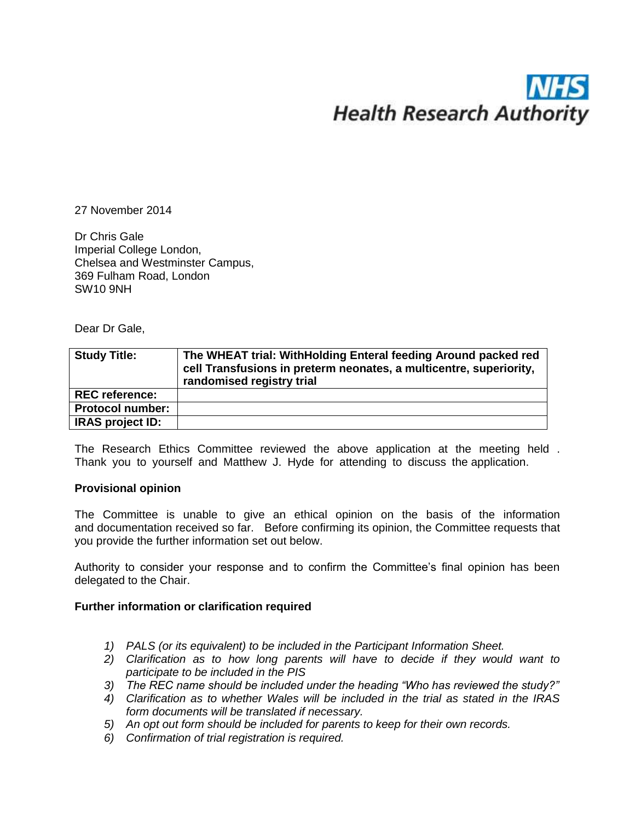# **Health Research Authority**

27 November 2014

Dr Chris Gale Imperial College London, Chelsea and Westminster Campus, 369 Fulham Road, London SW10 9NH

Dear Dr Gale,

| <b>Study Title:</b>     | The WHEAT trial: WithHolding Enteral feeding Around packed red<br>cell Transfusions in preterm neonates, a multicentre, superiority,<br>randomised registry trial |
|-------------------------|-------------------------------------------------------------------------------------------------------------------------------------------------------------------|
| <b>REC</b> reference:   |                                                                                                                                                                   |
| <b>Protocol number:</b> |                                                                                                                                                                   |
| <b>IRAS project ID:</b> |                                                                                                                                                                   |

The Research Ethics Committee reviewed the above application at the meeting held . Thank you to yourself and Matthew J. Hyde for attending to discuss the application.

### **Provisional opinion**

The Committee is unable to give an ethical opinion on the basis of the information and documentation received so far. Before confirming its opinion, the Committee requests that you provide the further information set out below.

Authority to consider your response and to confirm the Committee's final opinion has been delegated to the Chair.

### **Further information or clarification required**

- *1) PALS (or its equivalent) to be included in the Participant Information Sheet.*
- *2) Clarification as to how long parents will have to decide if they would want to participate to be included in the PIS*
- *3) The REC name should be included under the heading "Who has reviewed the study?"*
- *4) Clarification as to whether Wales will be included in the trial as stated in the IRAS form documents will be translated if necessary.*
- *5) An opt out form should be included for parents to keep for their own records.*
- *6) Confirmation of trial registration is required.*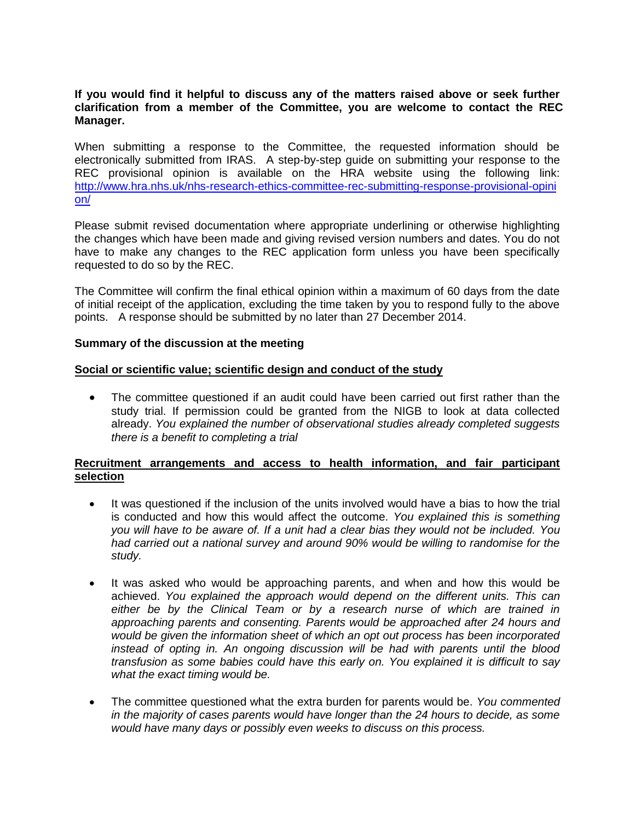### **If you would find it helpful to discuss any of the matters raised above or seek further clarification from a member of the Committee, you are welcome to contact the REC Manager.**

When submitting a response to the Committee, the requested information should be electronically submitted from IRAS. A step-by-step guide on submitting your response to the REC provisional opinion is available on the HRA website using the following link: [http://www.hra.nhs.uk/nhs-research-ethics-committee-rec-submitting-response-provisional-opini](http://www.hra.nhs.uk/nhs-research-ethics-committee-rec-submitting-response-provisional-opinion/) [on/](http://www.hra.nhs.uk/nhs-research-ethics-committee-rec-submitting-response-provisional-opinion/)

Please submit revised documentation where appropriate underlining or otherwise highlighting the changes which have been made and giving revised version numbers and dates. You do not have to make any changes to the REC application form unless you have been specifically requested to do so by the REC.

The Committee will confirm the final ethical opinion within a maximum of 60 days from the date of initial receipt of the application, excluding the time taken by you to respond fully to the above points. A response should be submitted by no later than 27 December 2014.

### **Summary of the discussion at the meeting**

### **Social or scientific value; scientific design and conduct of the study**

• The committee questioned if an audit could have been carried out first rather than the study trial. If permission could be granted from the NIGB to look at data collected already. *You explained the number of observational studies already completed suggests there is a benefit to completing a trial*

### **Recruitment arrangements and access to health information, and fair participant selection**

- It was questioned if the inclusion of the units involved would have a bias to how the trial is conducted and how this would affect the outcome. *You explained this is something you will have to be aware of. If a unit had a clear bias they would not be included. You had carried out a national survey and around 90% would be willing to randomise for the study.*
- It was asked who would be approaching parents, and when and how this would be achieved. *You explained the approach would depend on the different units. This can either be by the Clinical Team or by a research nurse of which are trained in approaching parents and consenting. Parents would be approached after 24 hours and would be given the information sheet of which an opt out process has been incorporated instead of opting in. An ongoing discussion will be had with parents until the blood transfusion as some babies could have this early on. You explained it is difficult to say what the exact timing would be.*
- The committee questioned what the extra burden for parents would be. *You commented in the majority of cases parents would have longer than the 24 hours to decide, as some would have many days or possibly even weeks to discuss on this process.*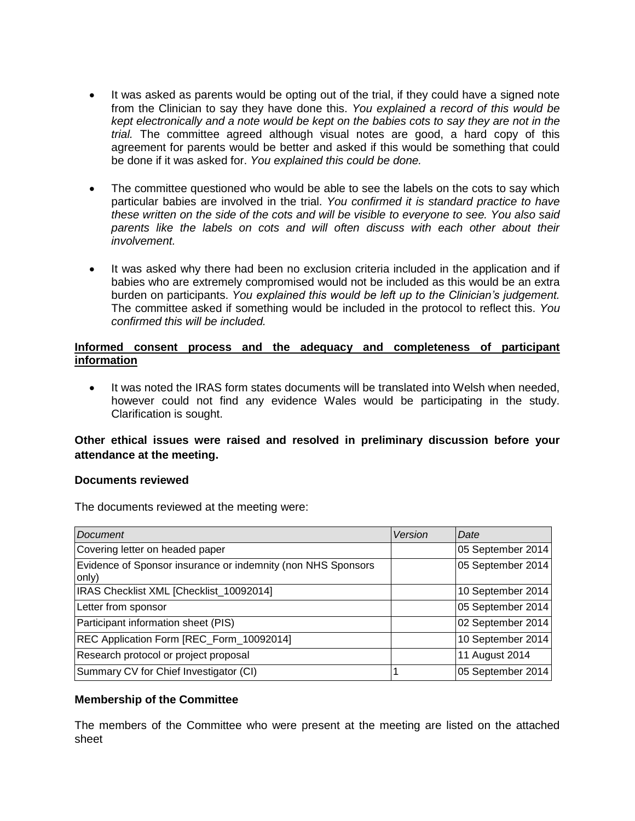- It was asked as parents would be opting out of the trial, if they could have a signed note from the Clinician to say they have done this. *You explained a record of this would be kept electronically and a note would be kept on the babies cots to say they are not in the trial.* The committee agreed although visual notes are good, a hard copy of this agreement for parents would be better and asked if this would be something that could be done if it was asked for. *You explained this could be done.*
- The committee questioned who would be able to see the labels on the cots to say which particular babies are involved in the trial. *You confirmed it is standard practice to have these written on the side of the cots and will be visible to everyone to see. You also said parents like the labels on cots and will often discuss with each other about their involvement.*
- It was asked why there had been no exclusion criteria included in the application and if babies who are extremely compromised would not be included as this would be an extra burden on participants. *You explained this would be left up to the Clinician's judgement.* The committee asked if something would be included in the protocol to reflect this. *You confirmed this will be included.*

# **Informed consent process and the adequacy and completeness of participant information**

 It was noted the IRAS form states documents will be translated into Welsh when needed, however could not find any evidence Wales would be participating in the study. Clarification is sought.

# **Other ethical issues were raised and resolved in preliminary discussion before your attendance at the meeting.**

### **Documents reviewed**

The documents reviewed at the meeting were:

| Document                                                              | Version | Date              |
|-----------------------------------------------------------------------|---------|-------------------|
| Covering letter on headed paper                                       |         | 05 September 2014 |
| Evidence of Sponsor insurance or indemnity (non NHS Sponsors<br>only) |         | 05 September 2014 |
| IRAS Checklist XML [Checklist_10092014]                               |         | 10 September 2014 |
| Letter from sponsor                                                   |         | 05 September 2014 |
| Participant information sheet (PIS)                                   |         | 02 September 2014 |
| REC Application Form [REC_Form_10092014]                              |         | 10 September 2014 |
| Research protocol or project proposal                                 |         | 11 August 2014    |
| Summary CV for Chief Investigator (CI)                                |         | 05 September 2014 |

### **Membership of the Committee**

The members of the Committee who were present at the meeting are listed on the attached sheet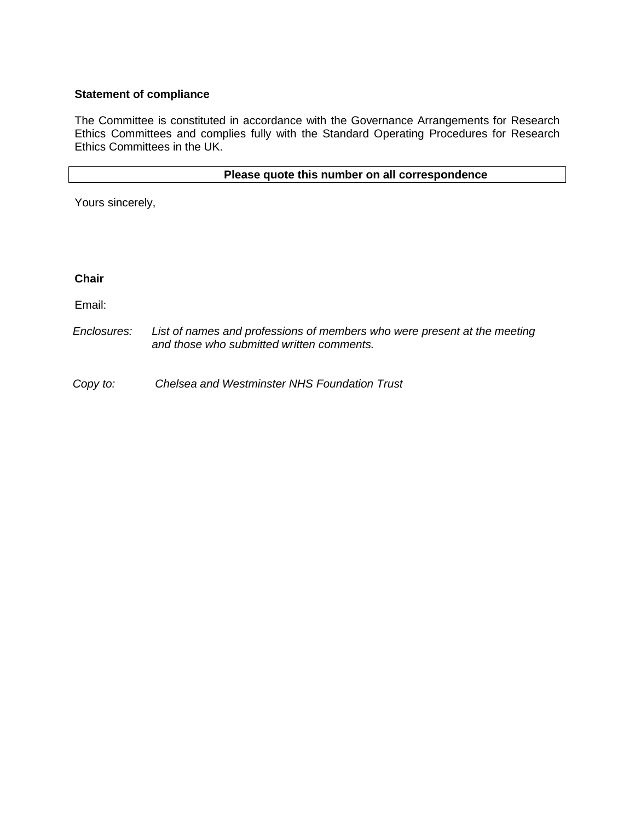# **Statement of compliance**

The Committee is constituted in accordance with the Governance Arrangements for Research Ethics Committees and complies fully with the Standard Operating Procedures for Research Ethics Committees in the UK.

# **Please quote this number on all correspondence**

Yours sincerely,

**Chair** 

Email:

*Enclosures: List of names and professions of members who were present at the meeting and those who submitted written comments.*

*Copy to: Chelsea and Westminster NHS Foundation Trust*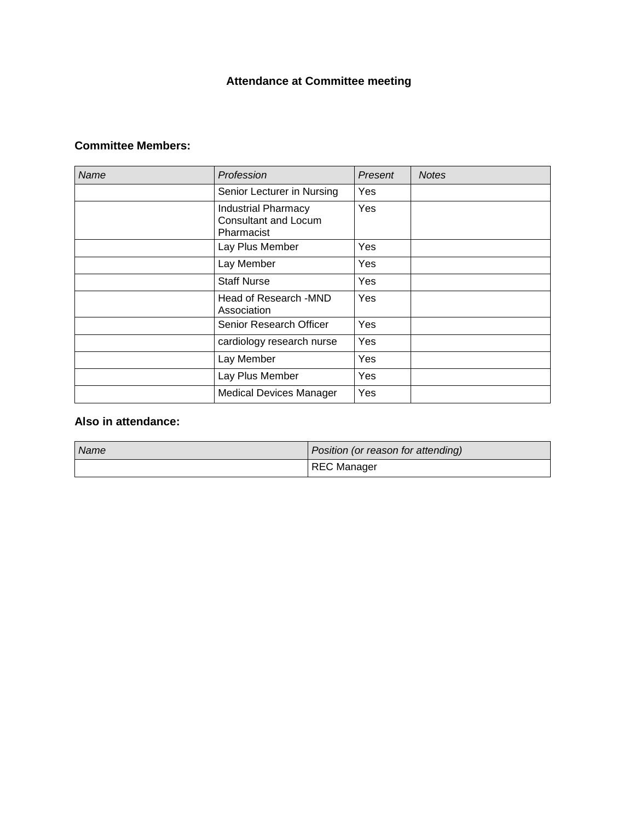# **Attendance at Committee meeting**

# **Committee Members:**

| Name | Profession                                                       | Present    | <b>Notes</b> |
|------|------------------------------------------------------------------|------------|--------------|
|      | Senior Lecturer in Nursing                                       | Yes        |              |
|      | <b>Industrial Pharmacy</b><br>Consultant and Locum<br>Pharmacist | Yes        |              |
|      | Lay Plus Member                                                  | <b>Yes</b> |              |
|      | Lay Member                                                       | Yes        |              |
|      | <b>Staff Nurse</b>                                               | Yes        |              |
|      | Head of Research - MND<br>Association                            | Yes        |              |
|      | Senior Research Officer                                          | Yes        |              |
|      | cardiology research nurse                                        | Yes        |              |
|      | Lay Member                                                       | Yes        |              |
|      | Lay Plus Member                                                  | Yes        |              |
|      | <b>Medical Devices Manager</b>                                   | Yes        |              |

# **Also in attendance:**

| <b>Name</b> | Position (or reason for attending) |  |
|-------------|------------------------------------|--|
|             | <b>REC Manager</b>                 |  |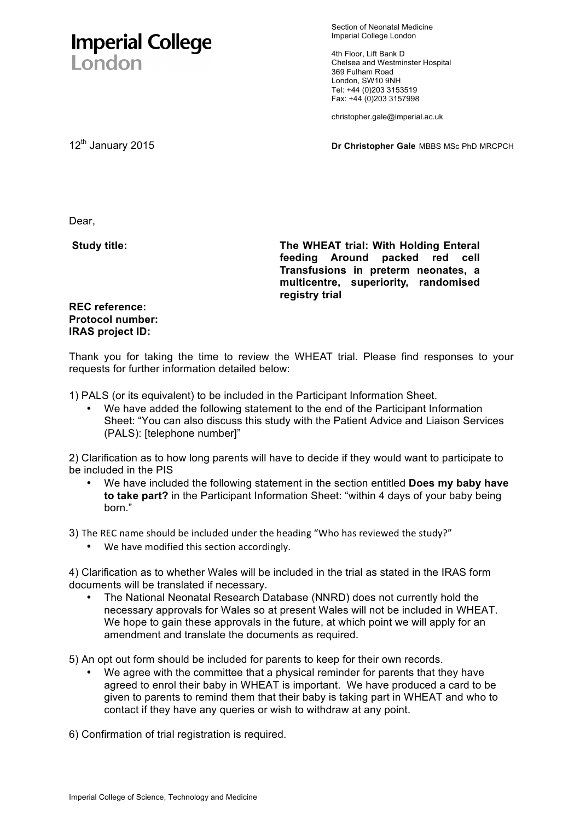# **Imperial College** London

Section of Neonatal Medicine Imperial College London

4th Floor, Lift Bank D Chelsea and Westminster Hospital 369 Fulham Road London, SW10 9NH Tel: +44 (0)203 3153519 Fax: +44 (0)203 3157998

christopher.gale@imperial.ac.uk

12<sup>th</sup> January 2015 **Dr Christopher Gale** MBBS MSc PhD MRCPCH

Dear,

**Study title:** 

**The WHEAT trial: With Holding Enteral feeding Around packed red cell Transfusions in preterm neonates, a multicentre, superiority, randomised registry trial** 

# **REC reference: Protocol number: IRAS project ID:**

Thank you for taking the time to review the WHEAT trial. Please find responses to your requests for further information detailed below:

1) PALS (or its equivalent) to be included in the Participant Information Sheet.

We have added the following statement to the end of the Participant Information Sheet: "You can also discuss this study with the Patient Advice and Liaison Services (PALS): [telephone number]"

2) Clarification as to how long parents will have to decide if they would want to participate to be included in the PIS

• We have included the following statement in the section entitled **Does my baby have to take part?** in the Participant Information Sheet: "within 4 days of your baby being born."

3) The REC name should be included under the heading "Who has reviewed the study?"

• We have modified this section accordingly.

4) Clarification as to whether Wales will be included in the trial as stated in the IRAS form documents will be translated if necessary.

• The National Neonatal Research Database (NNRD) does not currently hold the necessary approvals for Wales so at present Wales will not be included in WHEAT. We hope to gain these approvals in the future, at which point we will apply for an amendment and translate the documents as required.

5) An opt out form should be included for parents to keep for their own records.

We agree with the committee that a physical reminder for parents that they have agreed to enrol their baby in WHEAT is important. We have produced a card to be given to parents to remind them that their baby is taking part in WHEAT and who to contact if they have any queries or wish to withdraw at any point.

6) Confirmation of trial registration is required.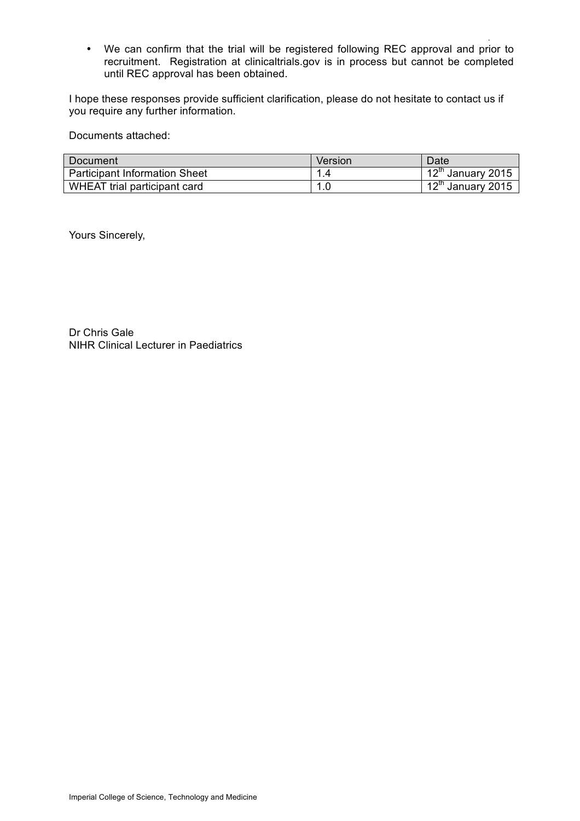. • We can confirm that the trial will be registered following REC approval and prior to recruitment. Registration at clinicaltrials.gov is in process but cannot be completed until REC approval has been obtained.

I hope these responses provide sufficient clarification, please do not hesitate to contact us if you require any further information.

Documents attached:

| Document                             | Version | Date                          |
|--------------------------------------|---------|-------------------------------|
| <b>Participant Information Sheet</b> | 1.4     | 12 <sup>th</sup> January 2015 |
| WHEAT trial participant card         | 1.0     | 12 <sup>th</sup> January 2015 |

Yours Sincerely,

Dr Chris Gale NIHR Clinical Lecturer in Paediatrics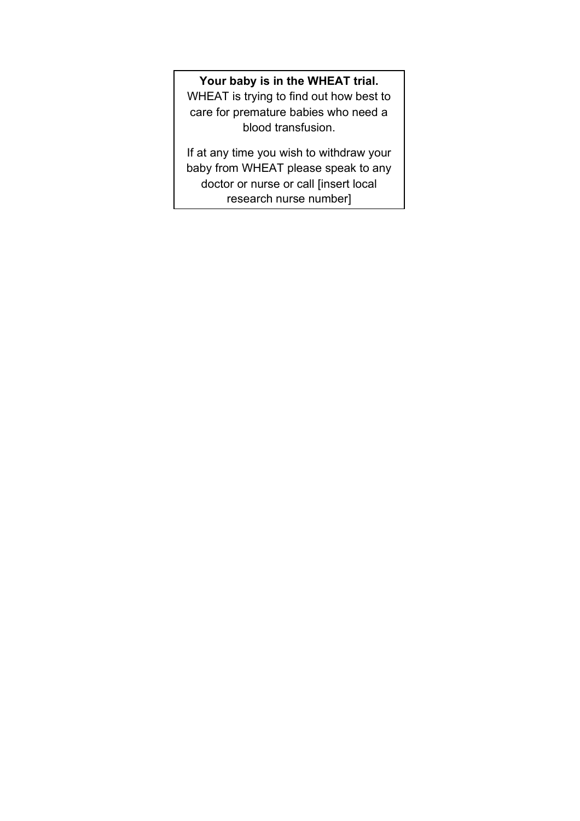# **Your baby is in the WHEAT trial.**

WHEAT is trying to find out how best to care for premature babies who need a blood transfusion.

If at any time you wish to withdraw your baby from WHEAT please speak to any doctor or nurse or call [insert local research nurse number]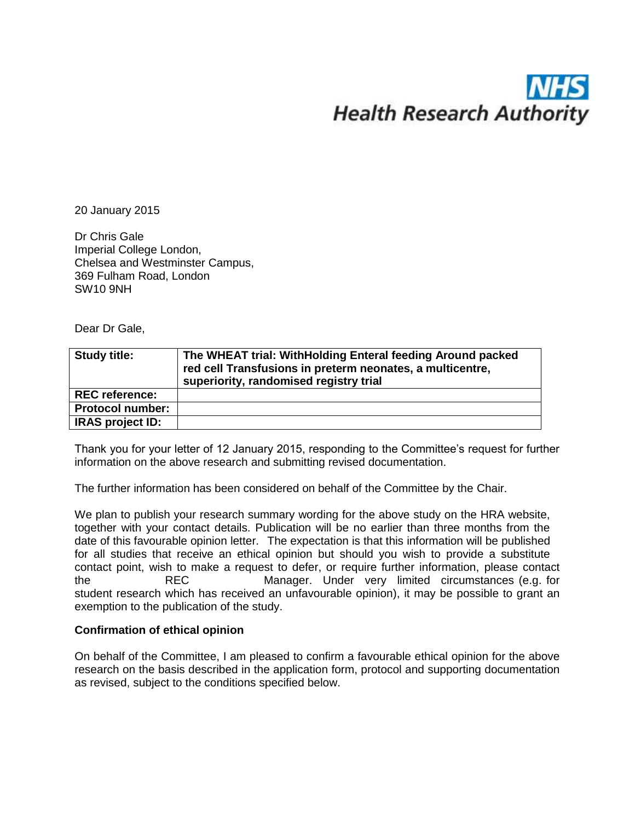# **Health Research Authority**

20 January 2015

Dr Chris Gale Imperial College London, Chelsea and Westminster Campus, 369 Fulham Road, London SW10 9NH

Dear Dr Gale,

| <b>Study title:</b>     | The WHEAT trial: WithHolding Enteral feeding Around packed<br>red cell Transfusions in preterm neonates, a multicentre,<br>superiority, randomised registry trial |
|-------------------------|-------------------------------------------------------------------------------------------------------------------------------------------------------------------|
| <b>REC reference:</b>   |                                                                                                                                                                   |
| <b>Protocol number:</b> |                                                                                                                                                                   |
| <b>IRAS project ID:</b> |                                                                                                                                                                   |

Thank you for your letter of 12 January 2015, responding to the Committee's request for further information on the above research and submitting revised documentation.

The further information has been considered on behalf of the Committee by the Chair.

We plan to publish your research summary wording for the above study on the HRA website, together with your contact details. Publication will be no earlier than three months from the date of this favourable opinion letter. The expectation is that this information will be published for all studies that receive an ethical opinion but should you wish to provide a substitute contact point, wish to make a request to defer, or require further information, please contact the REC Manager. Under very limited circumstances (e.g. for student research which has received an unfavourable opinion), it may be possible to grant an exemption to the publication of the study.

# **Confirmation of ethical opinion**

On behalf of the Committee, I am pleased to confirm a favourable ethical opinion for the above research on the basis described in the application form, protocol and supporting documentation as revised, subject to the conditions specified below.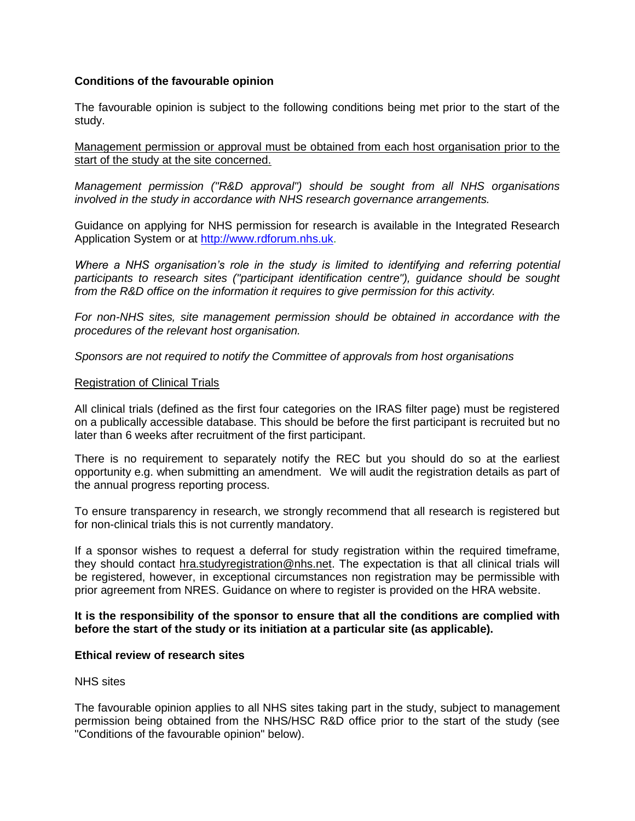# **Conditions of the favourable opinion**

The favourable opinion is subject to the following conditions being met prior to the start of the study.

Management permission or approval must be obtained from each host organisation prior to the start of the study at the site concerned.

*Management permission ("R&D approval") should be sought from all NHS organisations involved in the study in accordance with NHS research governance arrangements.*

Guidance on applying for NHS permission for research is available in the Integrated Research Application System or at [http://www.rdforum.nhs.uk.](http://www.rdforum.nhs.uk/)

*Where a NHS organisation's role in the study is limited to identifying and referring potential participants to research sites ("participant identification centre"), guidance should be sought from the R&D office on the information it requires to give permission for this activity.* 

*For non-NHS sites, site management permission should be obtained in accordance with the procedures of the relevant host organisation.* 

*Sponsors are not required to notify the Committee of approvals from host organisations*

#### Registration of Clinical Trials

All clinical trials (defined as the first four categories on the IRAS filter page) must be registered on a publically accessible database. This should be before the first participant is recruited but no later than 6 weeks after recruitment of the first participant.

There is no requirement to separately notify the REC but you should do so at the earliest opportunity e.g. when submitting an amendment. We will audit the registration details as part of the annual progress reporting process.

To ensure transparency in research, we strongly recommend that all research is registered but for non-clinical trials this is not currently mandatory.

If a sponsor wishes to request a deferral for study registration within the required timeframe, they should contact [hra.studyregistration@nhs.net.](mailto:hra.studyregistration@nhs.net) The expectation is that all clinical trials will be registered, however, in exceptional circumstances non registration may be permissible with prior agreement from NRES. Guidance on where to register is provided on the HRA website.

### **It is the responsibility of the sponsor to ensure that all the conditions are complied with before the start of the study or its initiation at a particular site (as applicable).**

### **Ethical review of research sites**

#### NHS sites

The favourable opinion applies to all NHS sites taking part in the study, subject to management permission being obtained from the NHS/HSC R&D office prior to the start of the study (see "Conditions of the favourable opinion" below).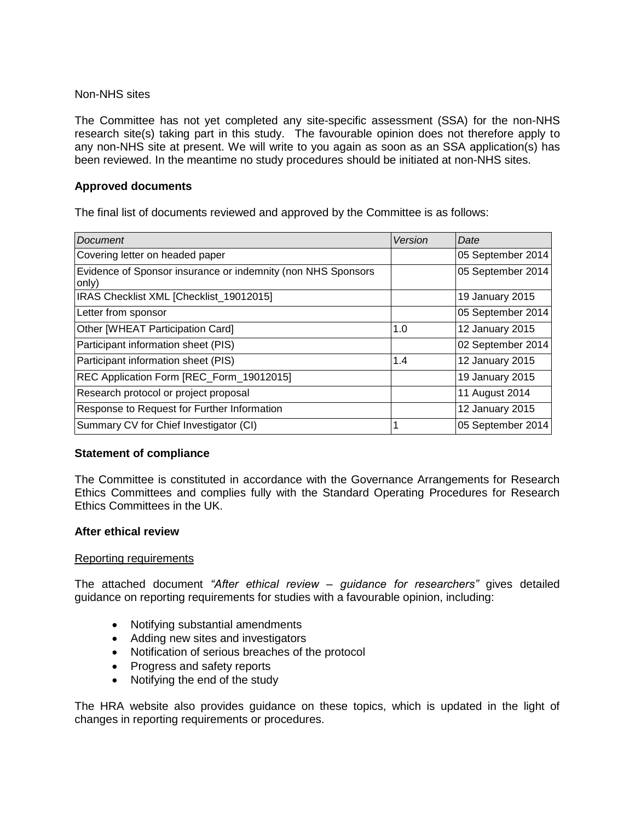### Non-NHS sites

The Committee has not yet completed any site-specific assessment (SSA) for the non-NHS research site(s) taking part in this study. The favourable opinion does not therefore apply to any non-NHS site at present. We will write to you again as soon as an SSA application(s) has been reviewed. In the meantime no study procedures should be initiated at non-NHS sites.

# **Approved documents**

The final list of documents reviewed and approved by the Committee is as follows:

| <b>Document</b>                                                       | Version | Date              |
|-----------------------------------------------------------------------|---------|-------------------|
| Covering letter on headed paper                                       |         | 05 September 2014 |
| Evidence of Sponsor insurance or indemnity (non NHS Sponsors<br>only) |         | 05 September 2014 |
| IRAS Checklist XML [Checklist_19012015]                               |         | 19 January 2015   |
| Letter from sponsor                                                   |         | 05 September 2014 |
| Other [WHEAT Participation Card]                                      | 1.0     | 12 January 2015   |
| Participant information sheet (PIS)                                   |         | 02 September 2014 |
| Participant information sheet (PIS)                                   | 1.4     | 12 January 2015   |
| REC Application Form [REC_Form_19012015]                              |         | 19 January 2015   |
| Research protocol or project proposal                                 |         | 11 August 2014    |
| Response to Request for Further Information                           |         | 12 January 2015   |
| Summary CV for Chief Investigator (CI)                                |         | 05 September 2014 |

# **Statement of compliance**

The Committee is constituted in accordance with the Governance Arrangements for Research Ethics Committees and complies fully with the Standard Operating Procedures for Research Ethics Committees in the UK.

### **After ethical review**

### Reporting requirements

The attached document *"After ethical review – guidance for researchers"* gives detailed guidance on reporting requirements for studies with a favourable opinion, including:

- Notifying substantial amendments
- Adding new sites and investigators
- Notification of serious breaches of the protocol
- Progress and safety reports
- Notifying the end of the study

The HRA website also provides guidance on these topics, which is updated in the light of changes in reporting requirements or procedures.